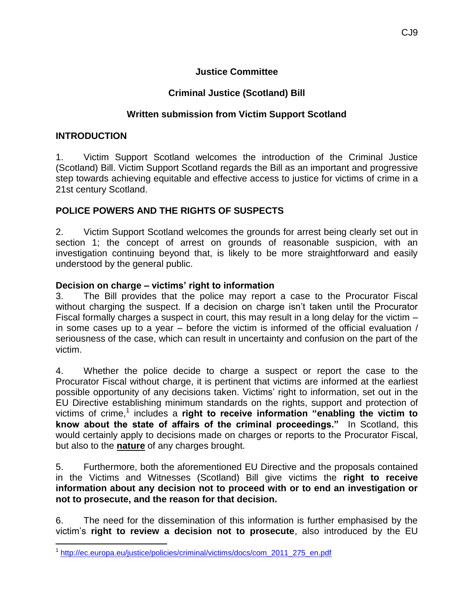#### **Justice Committee**

# **Criminal Justice (Scotland) Bill**

## **Written submission from Victim Support Scotland**

#### **INTRODUCTION**

1. Victim Support Scotland welcomes the introduction of the Criminal Justice (Scotland) Bill. Victim Support Scotland regards the Bill as an important and progressive step towards achieving equitable and effective access to justice for victims of crime in a 21st century Scotland.

## **POLICE POWERS AND THE RIGHTS OF SUSPECTS**

2. Victim Support Scotland welcomes the grounds for arrest being clearly set out in section 1; the concept of arrest on grounds of reasonable suspicion, with an investigation continuing beyond that, is likely to be more straightforward and easily understood by the general public.

#### **Decision on charge – victims' right to information**

3. The Bill provides that the police may report a case to the Procurator Fiscal without charging the suspect. If a decision on charge isn't taken until the Procurator Fiscal formally charges a suspect in court, this may result in a long delay for the victim – in some cases up to a year – before the victim is informed of the official evaluation / seriousness of the case, which can result in uncertainty and confusion on the part of the victim.

4. Whether the police decide to charge a suspect or report the case to the Procurator Fiscal without charge, it is pertinent that victims are informed at the earliest possible opportunity of any decisions taken. Victims' right to information, set out in the EU Directive establishing minimum standards on the rights, support and protection of victims of crime,<sup>1</sup> includes a **right to receive information "enabling the victim to know about the state of affairs of the criminal proceedings."** In Scotland, this would certainly apply to decisions made on charges or reports to the Procurator Fiscal, but also to the **nature** of any charges brought.

5. Furthermore, both the aforementioned EU Directive and the proposals contained in the Victims and Witnesses (Scotland) Bill give victims the **right to receive information about any decision not to proceed with or to end an investigation or not to prosecute, and the reason for that decision.**

6. The need for the dissemination of this information is further emphasised by the victim's **right to review a decision not to prosecute**, also introduced by the EU

 $\overline{a}$ <sup>1</sup>[http://ec.europa.eu/justice/policies/criminal/victims/docs/com\\_2011\\_275\\_en.pdf](http://ec.europa.eu/justice/policies/criminal/victims/docs/com_2011_275_en.pdf)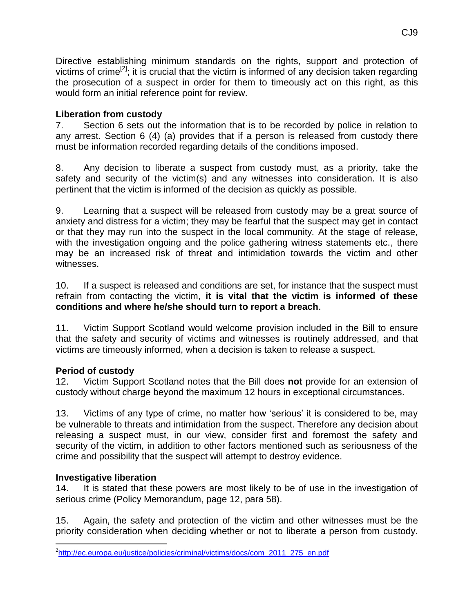Directive establishing minimum standards on the rights, support and protection of victims of crime<sup>[2]</sup>; it is crucial that the victim is informed of any decision taken regarding the prosecution of a suspect in order for them to timeously act on this right, as this would form an initial reference point for review.

## **Liberation from custody**

7. Section 6 sets out the information that is to be recorded by police in relation to any arrest. Section 6 (4) (a) provides that if a person is released from custody there must be information recorded regarding details of the conditions imposed.

8. Any decision to liberate a suspect from custody must, as a priority, take the safety and security of the victim(s) and any witnesses into consideration. It is also pertinent that the victim is informed of the decision as quickly as possible.

9. Learning that a suspect will be released from custody may be a great source of anxiety and distress for a victim; they may be fearful that the suspect may get in contact or that they may run into the suspect in the local community*.* At the stage of release, with the investigation ongoing and the police gathering witness statements etc., there may be an increased risk of threat and intimidation towards the victim and other witnesses.

10. If a suspect is released and conditions are set, for instance that the suspect must refrain from contacting the victim, **it is vital that the victim is informed of these conditions and where he/she should turn to report a breach**.

11. Victim Support Scotland would welcome provision included in the Bill to ensure that the safety and security of victims and witnesses is routinely addressed, and that victims are timeously informed, when a decision is taken to release a suspect.

# **Period of custody**

12. Victim Support Scotland notes that the Bill does **not** provide for an extension of custody without charge beyond the maximum 12 hours in exceptional circumstances.

13. Victims of any type of crime, no matter how 'serious' it is considered to be, may be vulnerable to threats and intimidation from the suspect. Therefore any decision about releasing a suspect must, in our view, consider first and foremost the safety and security of the victim, in addition to other factors mentioned such as seriousness of the crime and possibility that the suspect will attempt to destroy evidence.

# **Investigative liberation**

14. It is stated that these powers are most likely to be of use in the investigation of serious crime (Policy Memorandum, page 12, para 58).

15. Again, the safety and protection of the victim and other witnesses must be the priority consideration when deciding whether or not to liberate a person from custody.

 $\overline{a}$ <sup>2</sup>[http://ec.europa.eu/justice/policies/criminal/victims/docs/com\\_2011\\_275\\_en.pdf](http://ec.europa.eu/justice/policies/criminal/victims/docs/com_2011_275_en.pdf)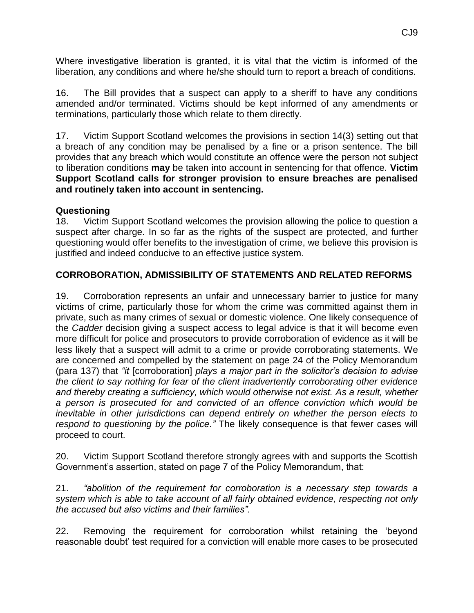Where investigative liberation is granted, it is vital that the victim is informed of the liberation, any conditions and where he/she should turn to report a breach of conditions.

16. The Bill provides that a suspect can apply to a sheriff to have any conditions amended and/or terminated. Victims should be kept informed of any amendments or terminations, particularly those which relate to them directly.

17. Victim Support Scotland welcomes the provisions in section 14(3) setting out that a breach of any condition may be penalised by a fine or a prison sentence. The bill provides that any breach which would constitute an offence were the person not subject to liberation conditions **may** be taken into account in sentencing for that offence. **Victim Support Scotland calls for stronger provision to ensure breaches are penalised and routinely taken into account in sentencing.** 

#### **Questioning**

18. Victim Support Scotland welcomes the provision allowing the police to question a suspect after charge. In so far as the rights of the suspect are protected, and further questioning would offer benefits to the investigation of crime, we believe this provision is justified and indeed conducive to an effective justice system.

## **CORROBORATION, ADMISSIBILITY OF STATEMENTS AND RELATED REFORMS**

19. Corroboration represents an unfair and unnecessary barrier to justice for many victims of crime, particularly those for whom the crime was committed against them in private, such as many crimes of sexual or domestic violence. One likely consequence of the *Cadder* decision giving a suspect access to legal advice is that it will become even more difficult for police and prosecutors to provide corroboration of evidence as it will be less likely that a suspect will admit to a crime or provide corroborating statements. We are concerned and compelled by the statement on page 24 of the Policy Memorandum (para 137) that *"it* [corroboration] *plays a major part in the solicitor's decision to advise the client to say nothing for fear of the client inadvertently corroborating other evidence and thereby creating a sufficiency, which would otherwise not exist. As a result, whether a person is prosecuted for and convicted of an offence conviction which would be inevitable in other jurisdictions can depend entirely on whether the person elects to respond to questioning by the police."* The likely consequence is that fewer cases will proceed to court.

20. Victim Support Scotland therefore strongly agrees with and supports the Scottish Government's assertion, stated on page 7 of the Policy Memorandum, that:

21. *"abolition of the requirement for corroboration is a necessary step towards a system which is able to take account of all fairly obtained evidence, respecting not only the accused but also victims and their families".* 

22. Removing the requirement for corroboration whilst retaining the 'beyond reasonable doubt' test required for a conviction will enable more cases to be prosecuted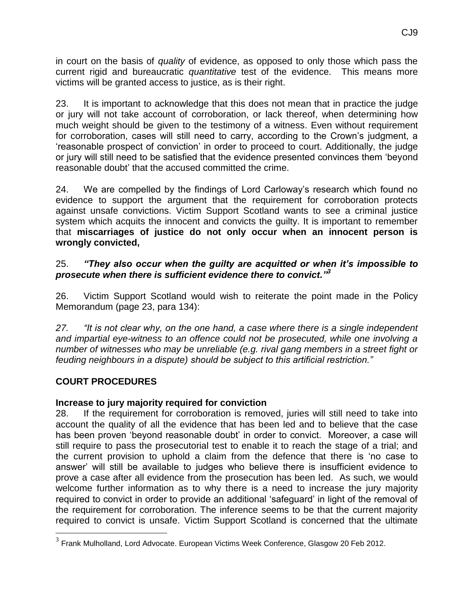in court on the basis of *quality* of evidence, as opposed to only those which pass the current rigid and bureaucratic *quantitative* test of the evidence. This means more victims will be granted access to justice, as is their right.

23. It is important to acknowledge that this does not mean that in practice the judge or jury will not take account of corroboration, or lack thereof, when determining how much weight should be given to the testimony of a witness. Even without requirement for corroboration, cases will still need to carry, according to the Crown's judgment, a 'reasonable prospect of conviction' in order to proceed to court. Additionally, the judge or jury will still need to be satisfied that the evidence presented convinces them 'beyond reasonable doubt' that the accused committed the crime.

24. We are compelled by the findings of Lord Carloway's research which found no evidence to support the argument that the requirement for corroboration protects against unsafe convictions. Victim Support Scotland wants to see a criminal justice system which acquits the innocent and convicts the guilty. It is important to remember that **miscarriages of justice do not only occur when an innocent person is wrongly convicted,** 

## 25. *"They also occur when the guilty are acquitted or when it's impossible to prosecute when there is sufficient evidence there to convict." 3*

26. Victim Support Scotland would wish to reiterate the point made in the Policy Memorandum (page 23, para 134):

*27. "It is not clear why, on the one hand, a case where there is a single independent and impartial eye-witness to an offence could not be prosecuted, while one involving a number of witnesses who may be unreliable (e.g. rival gang members in a street fight or feuding neighbours in a dispute) should be subject to this artificial restriction."*

# **COURT PROCEDURES**

# **Increase to jury majority required for conviction**

28. If the requirement for corroboration is removed, juries will still need to take into account the quality of all the evidence that has been led and to believe that the case has been proven 'beyond reasonable doubt' in order to convict. Moreover, a case will still require to pass the prosecutorial test to enable it to reach the stage of a trial; and the current provision to uphold a claim from the defence that there is 'no case to answer' will still be available to judges who believe there is insufficient evidence to prove a case after all evidence from the prosecution has been led. As such, we would welcome further information as to why there is a need to increase the jury majority required to convict in order to provide an additional 'safeguard' in light of the removal of the requirement for corroboration. The inference seems to be that the current majority required to convict is unsafe. Victim Support Scotland is concerned that the ultimate

 3 Frank Mulholland, Lord Advocate. European Victims Week Conference, Glasgow 20 Feb 2012.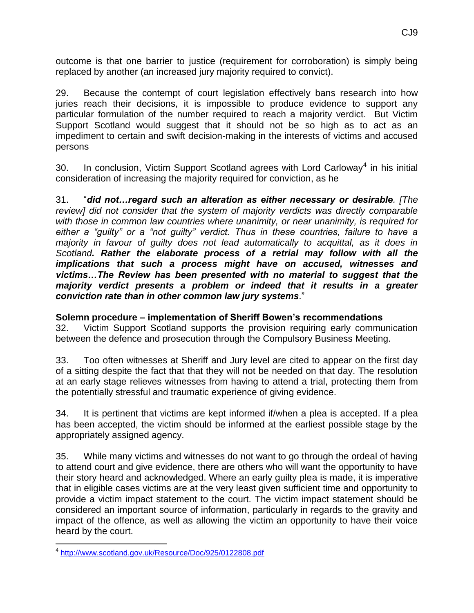outcome is that one barrier to justice (requirement for corroboration) is simply being replaced by another (an increased jury majority required to convict).

29. Because the contempt of court legislation effectively bans research into how juries reach their decisions, it is impossible to produce evidence to support any particular formulation of the number required to reach a majority verdict. But Victim Support Scotland would suggest that it should not be so high as to act as an impediment to certain and swift decision-making in the interests of victims and accused persons

30. In conclusion, Victim Support Scotland agrees with Lord Carloway<sup>4</sup> in his initial consideration of increasing the majority required for conviction, as he

31. "*did not…regard such an alteration as either necessary or desirable. [The review] did not consider that the system of majority verdicts was directly comparable with those in common law countries where unanimity, or near unanimity, is required for either a "guilty" or a "not guilty" verdict. Thus in these countries, failure to have a majority in favour of guilty does not lead automatically to acquittal, as it does in Scotland. Rather the elaborate process of a retrial may follow with all the implications that such a process might have on accused, witnesses and victims…The Review has been presented with no material to suggest that the majority verdict presents a problem or indeed that it results in a greater conviction rate than in other common law jury systems*."

# **Solemn procedure – implementation of Sheriff Bowen's recommendations**

32. Victim Support Scotland supports the provision requiring early communication between the defence and prosecution through the Compulsory Business Meeting.

33. Too often witnesses at Sheriff and Jury level are cited to appear on the first day of a sitting despite the fact that that they will not be needed on that day. The resolution at an early stage relieves witnesses from having to attend a trial, protecting them from the potentially stressful and traumatic experience of giving evidence.

34. It is pertinent that victims are kept informed if/when a plea is accepted. If a plea has been accepted, the victim should be informed at the earliest possible stage by the appropriately assigned agency.

35. While many victims and witnesses do not want to go through the ordeal of having to attend court and give evidence, there are others who will want the opportunity to have their story heard and acknowledged. Where an early guilty plea is made, it is imperative that in eligible cases victims are at the very least given sufficient time and opportunity to provide a victim impact statement to the court. The victim impact statement should be considered an important source of information, particularly in regards to the gravity and impact of the offence, as well as allowing the victim an opportunity to have their voice heard by the court.

 $\overline{a}$ 4 <http://www.scotland.gov.uk/Resource/Doc/925/0122808.pdf>